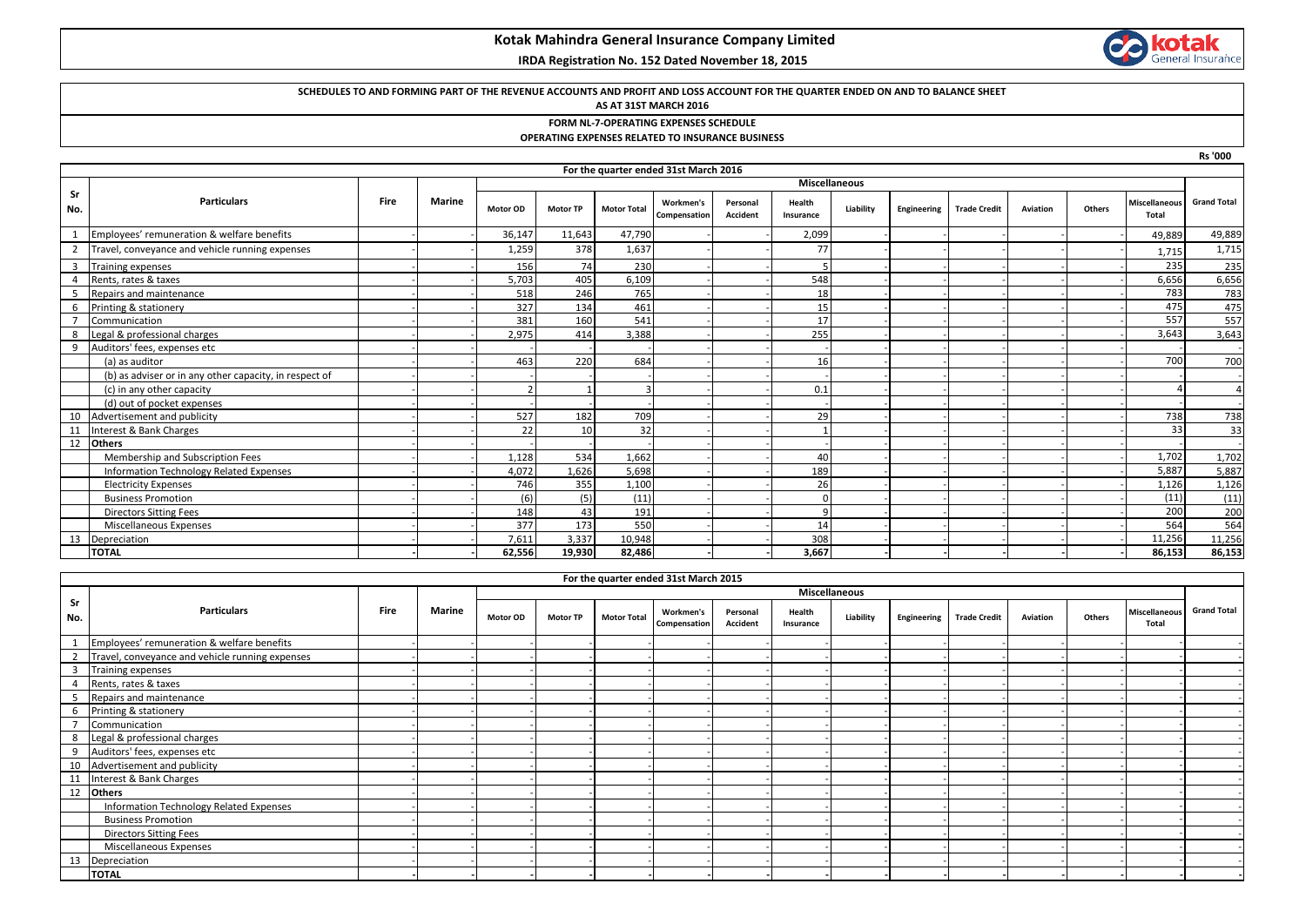# **Kotak Mahindra General Insurance Company Limited**

### **IRDA Registration No. 152 Dated November 18, 2015**

# **kotak**<br>General Insurance 68

**Rs '000**

### **SCHEDULES TO AND FORMING PART OF THE REVENUE ACCOUNTS AND PROFIT AND LOSS ACCOUNT FOR THE QUARTER ENDED ON AND TO BALANCE SHEET**

#### **AS AT 31ST MARCH 2016**

### **FORM NL-7-OPERATING EXPENSES SCHEDULE**

### **OPERATING EXPENSES RELATED TO INSURANCE BUSINESS**

|           | For the quarter ended 31st March 2016                  |             |                      |                 |                 |                    |                                  |                      |                     |           |             |                     |          |        |                               |                    |
|-----------|--------------------------------------------------------|-------------|----------------------|-----------------|-----------------|--------------------|----------------------------------|----------------------|---------------------|-----------|-------------|---------------------|----------|--------|-------------------------------|--------------------|
|           |                                                        |             | <b>Miscellaneous</b> |                 |                 |                    |                                  |                      |                     |           |             |                     |          |        |                               |                    |
| Sr<br>No. | <b>Particulars</b>                                     | <b>Fire</b> | <b>Marine</b>        | <b>Motor OD</b> | <b>Motor TP</b> | <b>Motor Total</b> | <b>Workmen's</b><br>Compensation | Personal<br>Accident | Health<br>Insurance | Liability | Engineering | <b>Trade Credit</b> | Aviation | Others | <b>Miscellaneous</b><br>Total | <b>Grand Total</b> |
|           | Employees' remuneration & welfare benefits             |             |                      | 36,147          | 11,643          | 47,790             |                                  |                      | 2,099               |           |             |                     |          |        | 49,889                        | 49,889             |
|           | Travel, conveyance and vehicle running expenses        |             |                      | 1,259           | 378             | 1,637              |                                  |                      | 77                  |           |             |                     |          |        | 1,715                         | 1,715              |
|           | Training expenses                                      |             |                      | 156             | 74              | 230                |                                  |                      |                     |           |             |                     |          |        | 235                           | 235                |
|           | Rents, rates & taxes                                   |             |                      | 5,703           | 405             | 6,109              |                                  |                      | 548                 |           |             |                     |          |        | 6,656                         | 6,656              |
|           | Repairs and maintenance                                |             |                      | 518             | 246             | 765                |                                  |                      | 18                  |           |             |                     |          |        | 783                           | 783                |
| 6         | Printing & stationery                                  |             |                      | 327             | 134             | 461                |                                  |                      | 15                  |           |             |                     |          |        | 475                           | 475                |
|           | Communication                                          |             |                      | 381             | 160             | 541                |                                  |                      | 17                  |           |             |                     |          |        | 557                           | 557                |
| 8         | Legal & professional charges                           |             |                      | 2,975           | 414             | 3,388              |                                  |                      | 255                 |           |             |                     |          |        | 3,643                         | 3,643              |
|           | Auditors' fees, expenses etc                           |             |                      |                 |                 |                    |                                  |                      |                     |           |             |                     |          |        |                               |                    |
|           | (a) as auditor                                         |             |                      | 463             | 220             | 684                |                                  |                      | 16                  |           |             |                     |          |        | 700                           | 700                |
|           | (b) as adviser or in any other capacity, in respect of |             |                      |                 |                 |                    |                                  |                      |                     |           |             |                     |          |        |                               |                    |
|           | (c) in any other capacity                              |             |                      |                 |                 |                    |                                  |                      | 0.1                 |           |             |                     |          |        |                               |                    |
|           | (d) out of pocket expenses                             |             |                      |                 |                 |                    |                                  |                      |                     |           |             |                     |          |        |                               |                    |
| 10        | Advertisement and publicity                            |             |                      | 527             | 182             | 709                |                                  |                      | 29                  |           |             |                     |          |        | 738                           | 738                |
|           | Interest & Bank Charges                                |             |                      | 22              | 10              | 32                 |                                  |                      |                     |           |             |                     |          |        | 33                            | 33                 |
|           | 12 Others                                              |             |                      |                 |                 |                    |                                  |                      |                     |           |             |                     |          |        |                               |                    |
|           | Membership and Subscription Fees                       |             |                      | 1.128           | 534             | 1.662              |                                  |                      | 40                  |           |             |                     |          |        | 1,702                         | 1,702              |
|           | Information Technology Related Expenses                |             |                      | 4,072           | 1,626           | 5,698              |                                  |                      | 189                 |           |             |                     |          |        | 5,887                         | 5,887              |
|           | <b>Electricity Expenses</b>                            |             |                      | 746             | 355             | 1.100              |                                  |                      | 26                  |           |             |                     |          |        | 1,126                         | 1,126              |
|           | <b>Business Promotion</b>                              |             |                      | (6)             | (5)             | (11)               |                                  |                      | $\Omega$            |           |             |                     |          |        | (11)                          | (11)               |
|           | <b>Directors Sitting Fees</b>                          |             |                      | 148             | 43              | 191                |                                  |                      | q                   |           |             |                     |          |        | 200                           | 200                |
|           | Miscellaneous Expenses                                 |             |                      | 377             | 173             | 550                |                                  |                      | 14                  |           |             |                     |          |        | 564                           | 564                |
| 13        | Depreciation                                           |             |                      | 7.611           | 3,337           | 10,948             |                                  |                      | 308                 |           |             |                     |          |        | 11,256                        | 11,256             |
|           | <b>TOTAL</b>                                           |             |                      | 62,556          | 19,930          | 82,486             |                                  |                      | 3,667               |           |             |                     |          |        | 86,153                        | 86,153             |

|                | For the quarter ended 31st March 2015           |      |               |               |                 |                    |                           |                      |                     |           |             |                     |          |        |                               |                    |
|----------------|-------------------------------------------------|------|---------------|---------------|-----------------|--------------------|---------------------------|----------------------|---------------------|-----------|-------------|---------------------|----------|--------|-------------------------------|--------------------|
|                | <b>Particulars</b>                              | Fire |               | Miscellaneous |                 |                    |                           |                      |                     |           |             |                     |          |        |                               |                    |
| Sr<br>No.      |                                                 |      | <b>Marine</b> | Motor OD      | <b>Motor TP</b> | <b>Motor Total</b> | Workmen's<br>Compensation | Personal<br>Accident | Health<br>Insurance | Liability | Engineering | <b>Trade Credit</b> | Aviation | Others | <b>Miscellaneous</b><br>Total | <b>Grand Total</b> |
|                | Employees' remuneration & welfare benefits      |      |               |               |                 |                    |                           |                      |                     |           |             |                     |          |        |                               |                    |
| $\overline{2}$ | Travel, conveyance and vehicle running expenses |      |               |               |                 |                    |                           |                      |                     |           |             |                     |          |        |                               |                    |
| $\overline{3}$ | <b>Training expenses</b>                        |      |               |               |                 |                    |                           |                      |                     |           |             |                     |          |        |                               |                    |
|                | Rents, rates & taxes                            |      |               |               |                 |                    |                           |                      |                     |           |             |                     |          |        |                               |                    |
| 5              | Repairs and maintenance                         |      |               |               |                 |                    |                           |                      |                     |           |             |                     |          |        |                               |                    |
| -6             | Printing & stationery                           |      |               |               |                 |                    |                           |                      |                     |           |             |                     |          |        |                               |                    |
|                | Communication                                   |      |               |               |                 |                    |                           |                      |                     |           |             |                     |          |        |                               |                    |
| 8              | Legal & professional charges                    |      |               |               |                 |                    |                           |                      |                     |           |             |                     |          |        |                               |                    |
| 9              | Auditors' fees, expenses etc                    |      |               |               |                 |                    |                           |                      |                     |           |             |                     |          |        |                               |                    |
| 10             | Advertisement and publicity                     |      |               |               |                 |                    |                           |                      |                     |           |             |                     |          |        |                               |                    |
| 11             | Interest & Bank Charges                         |      |               |               |                 |                    |                           |                      |                     |           |             |                     |          |        |                               |                    |
| 12             | <b>Others</b>                                   |      |               |               |                 |                    |                           |                      |                     |           |             |                     |          |        |                               |                    |
|                | Information Technology Related Expenses         |      |               |               |                 |                    |                           |                      |                     |           |             |                     |          |        |                               |                    |
|                | <b>Business Promotion</b>                       |      |               |               |                 |                    |                           |                      |                     |           |             |                     |          |        |                               |                    |
|                | <b>Directors Sitting Fees</b>                   |      |               |               |                 |                    |                           |                      |                     |           |             |                     |          |        |                               |                    |
|                | Miscellaneous Expenses                          |      |               |               |                 |                    |                           |                      |                     |           |             |                     |          |        |                               |                    |
| 13             | Depreciation                                    |      |               |               |                 |                    |                           |                      |                     |           |             |                     |          |        |                               |                    |
|                | <b>TOTAL</b>                                    |      |               |               |                 |                    |                           |                      |                     |           |             |                     |          |        |                               |                    |